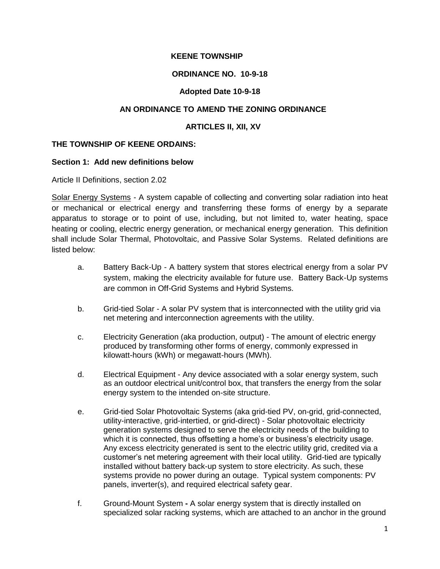## **KEENE TOWNSHIP**

## **ORDINANCE NO. 10-9-18**

## **Adopted Date 10-9-18**

## **AN ORDINANCE TO AMEND THE ZONING ORDINANCE**

## **ARTICLES II, XII, XV**

## **THE TOWNSHIP OF KEENE ORDAINS:**

#### **Section 1: Add new definitions below**

Article II Definitions, section 2.02

Solar Energy Systems - A system capable of collecting and converting solar radiation into heat or mechanical or electrical energy and transferring these forms of energy by a separate apparatus to storage or to point of use, including, but not limited to, water heating, space heating or cooling, electric energy generation, or mechanical energy generation. This definition shall include Solar Thermal, Photovoltaic, and Passive Solar Systems. Related definitions are listed below:

- a. Battery Back-Up A battery system that stores electrical energy from a solar PV system, making the electricity available for future use. Battery Back-Up systems are common in Off-Grid Systems and Hybrid Systems.
- b. Grid-tied Solar A solar PV system that is interconnected with the utility grid via net metering and interconnection agreements with the utility.
- c. Electricity Generation (aka production, output) The amount of electric energy produced by transforming other forms of energy, commonly expressed in kilowatt-hours (kWh) or megawatt-hours (MWh).
- d. Electrical Equipment Any device associated with a solar energy system, such as an outdoor electrical unit/control box, that transfers the energy from the solar energy system to the intended on-site structure.
- e. Grid-tied Solar Photovoltaic Systems (aka grid-tied PV, on-grid, grid-connected, utility-interactive, grid-intertied, or grid-direct) - Solar photovoltaic electricity generation systems designed to serve the electricity needs of the building to which it is connected, thus offsetting a home's or business's electricity usage. Any excess electricity generated is sent to the electric utility grid, credited via a customer's net metering agreement with their local utility. Grid-tied are typically installed without battery back-up system to store electricity. As such, these systems provide no power during an outage. Typical system components: PV panels, inverter(s), and required electrical safety gear.
- f. Ground-Mount System **-** A solar energy system that is directly installed on specialized solar racking systems, which are attached to an anchor in the ground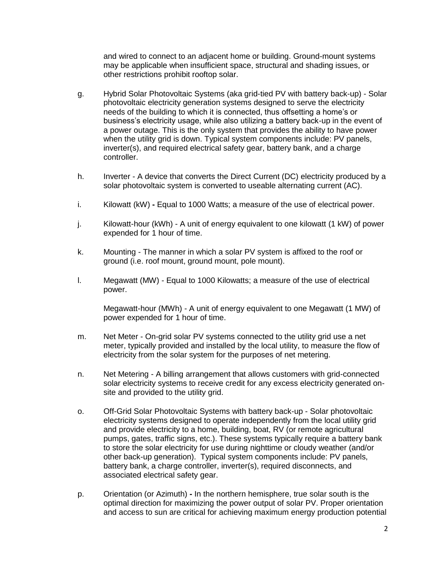and wired to connect to an adjacent home or building. Ground-mount systems may be applicable when insufficient space, structural and shading issues, or other restrictions prohibit rooftop solar.

- g. Hybrid Solar Photovoltaic Systems (aka grid-tied PV with battery back-up) Solar photovoltaic electricity generation systems designed to serve the electricity needs of the building to which it is connected, thus offsetting a home's or business's electricity usage, while also utilizing a battery back-up in the event of a power outage. This is the only system that provides the ability to have power when the utility grid is down. Typical system components include: PV panels, inverter(s), and required electrical safety gear, battery bank, and a charge controller.
- h. Inverter A device that converts the Direct Current (DC) electricity produced by a solar photovoltaic system is converted to useable alternating current (AC).
- i. Kilowatt (kW) **-** Equal to 1000 Watts; a measure of the use of electrical power.
- j. Kilowatt-hour (kWh) A unit of energy equivalent to one kilowatt (1 kW) of power expended for 1 hour of time.
- k. Mounting The manner in which a solar PV system is affixed to the roof or ground (i.e. roof mount, ground mount, pole mount).
- l. Megawatt (MW) Equal to 1000 Kilowatts; a measure of the use of electrical power.

Megawatt-hour (MWh) - A unit of energy equivalent to one Megawatt (1 MW) of power expended for 1 hour of time.

- m. Net Meter On-grid solar PV systems connected to the utility grid use a net meter, typically provided and installed by the local utility, to measure the flow of electricity from the solar system for the purposes of net metering.
- n. Net Metering A billing arrangement that allows customers with grid-connected solar electricity systems to receive credit for any excess electricity generated onsite and provided to the utility grid.
- o. Off-Grid Solar Photovoltaic Systems with battery back-up Solar photovoltaic electricity systems designed to operate independently from the local utility grid and provide electricity to a home, building, boat, RV (or remote agricultural pumps, gates, traffic signs, etc.). These systems typically require a battery bank to store the solar electricity for use during nighttime or cloudy weather (and/or other back-up generation). Typical system components include: PV panels, battery bank, a charge controller, inverter(s), required disconnects, and associated electrical safety gear.
- p. Orientation (or Azimuth) **-** In the northern hemisphere, true solar south is the optimal direction for maximizing the power output of solar PV. Proper orientation and access to sun are critical for achieving maximum energy production potential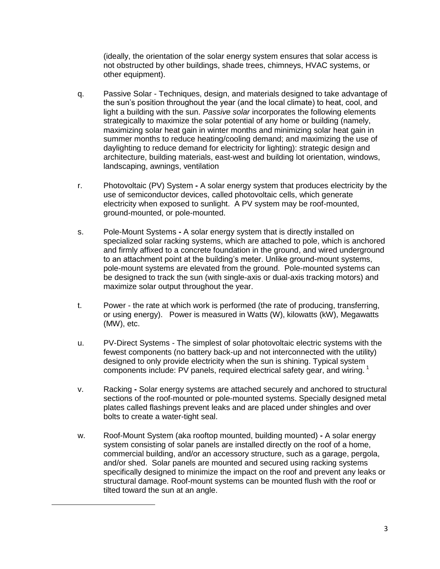(ideally, the orientation of the solar energy system ensures that solar access is not obstructed by other buildings, shade trees, chimneys, HVAC systems, or other equipment).

- q. Passive Solar Techniques, design, and materials designed to take advantage of the sun's position throughout the year (and the local climate) to heat, cool, and light a building with the sun. *Passive solar* incorporates the following elements strategically to maximize the solar potential of any home or building (namely, maximizing solar heat gain in winter months and minimizing solar heat gain in summer months to reduce heating/cooling demand; and maximizing the use of daylighting to reduce demand for electricity for lighting): strategic design and architecture, building materials, east-west and building lot orientation, windows, landscaping, awnings, ventilation
- r. Photovoltaic (PV) System **-** A solar energy system that produces electricity by the use of semiconductor devices, called photovoltaic cells, which generate electricity when exposed to sunlight. A PV system may be roof-mounted, ground-mounted, or pole-mounted.
- s. Pole-Mount Systems **-** A solar energy system that is directly installed on specialized solar racking systems, which are attached to pole, which is anchored and firmly affixed to a concrete foundation in the ground, and wired underground to an attachment point at the building's meter. Unlike ground-mount systems, pole-mount systems are elevated from the ground. Pole-mounted systems can be designed to track the sun (with single-axis or dual-axis tracking motors) and maximize solar output throughout the year.
- t. Power the rate at which work is performed (the rate of producing, transferring, or using energy). Power is measured in Watts (W), kilowatts (kW), Megawatts (MW), etc.
- u. PV-Direct Systems The simplest of solar photovoltaic electric systems with the fewest components (no battery back-up and not interconnected with the utility) designed to only provide electricity when the sun is shining. Typical system components include: PV panels, required electrical safety gear, and wiring.  $1$
- v. Racking **-** Solar energy systems are attached securely and anchored to structural sections of the roof-mounted or pole-mounted systems. Specially designed metal plates called flashings prevent leaks and are placed under shingles and over bolts to create a water-tight seal.
- w. Roof-Mount System (aka rooftop mounted, building mounted) **-** A solar energy system consisting of solar panels are installed directly on the roof of a home, commercial building, and/or an accessory structure, such as a garage, pergola, and/or shed. Solar panels are mounted and secured using racking systems specifically designed to minimize the impact on the roof and prevent any leaks or structural damage. Roof-mount systems can be mounted flush with the roof or tilted toward the sun at an angle.

 $\overline{\phantom{a}}$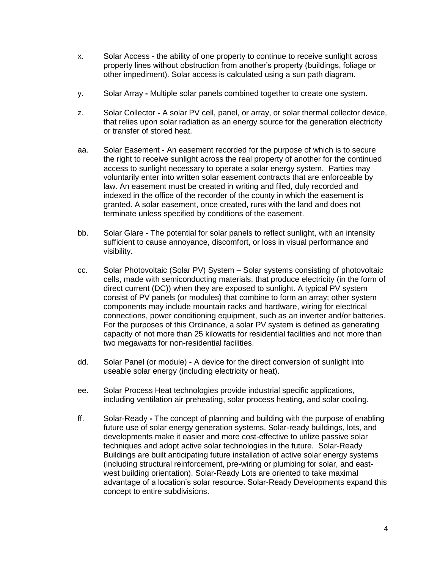- x. Solar Access **-** the ability of one property to continue to receive sunlight across property lines without obstruction from another's property (buildings, foliage or other impediment). Solar access is calculated using a sun path diagram.
- y. Solar Array **-** Multiple solar panels combined together to create one system.
- z. Solar Collector **-** A solar PV cell, panel, or array, or solar thermal collector device, that relies upon solar radiation as an energy source for the generation electricity or transfer of stored heat.
- aa. Solar Easement **-** An easement recorded for the purpose of which is to secure the right to receive sunlight across the real property of another for the continued access to sunlight necessary to operate a solar energy system. Parties may voluntarily enter into written solar easement contracts that are enforceable by law. An easement must be created in writing and filed, duly recorded and indexed in the office of the recorder of the county in which the easement is granted. A solar easement, once created, runs with the land and does not terminate unless specified by conditions of the easement.
- bb. Solar Glare **-** The potential for solar panels to reflect sunlight, with an intensity sufficient to cause annoyance, discomfort, or loss in visual performance and visibility.
- cc. Solar Photovoltaic (Solar PV) System Solar systems consisting of photovoltaic cells, made with semiconducting materials, that produce electricity (in the form of direct current (DC)) when they are exposed to sunlight. A typical PV system consist of PV panels (or modules) that combine to form an array; other system components may include mountain racks and hardware, wiring for electrical connections, power conditioning equipment, such as an inverter and/or batteries. For the purposes of this Ordinance, a solar PV system is defined as generating capacity of not more than 25 kilowatts for residential facilities and not more than two megawatts for non-residential facilities.
- dd. Solar Panel (or module) **-** A device for the direct conversion of sunlight into useable solar energy (including electricity or heat).
- ee. Solar Process Heat technologies provide industrial specific applications, including ventilation air preheating, solar process heating, and solar cooling.
- ff. Solar-Ready **-** The concept of planning and building with the purpose of enabling future use of solar energy generation systems. Solar-ready buildings, lots, and developments make it easier and more cost-effective to utilize passive solar techniques and adopt active solar technologies in the future. Solar-Ready Buildings are built anticipating future installation of active solar energy systems (including structural reinforcement, pre-wiring or plumbing for solar, and eastwest building orientation). Solar-Ready Lots are oriented to take maximal advantage of a location's solar resource. Solar-Ready Developments expand this concept to entire subdivisions.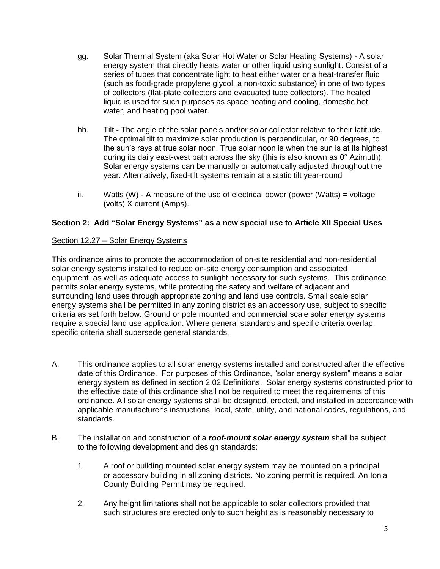- gg. Solar Thermal System (aka Solar Hot Water or Solar Heating Systems) **-** A solar energy system that directly heats water or other liquid using sunlight. Consist of a series of tubes that concentrate light to heat either water or a heat-transfer fluid (such as food-grade propylene glycol, a non-toxic substance) in one of two types of collectors (flat-plate collectors and evacuated tube collectors). The heated liquid is used for such purposes as space heating and cooling, domestic hot water, and heating pool water.
- hh. Tilt **-** The angle of the solar panels and/or solar collector relative to their latitude. The optimal tilt to maximize solar production is perpendicular, or 90 degrees, to the sun's rays at true solar noon. True solar noon is when the sun is at its highest during its daily east-west path across the sky (this is also known as  $0^{\circ}$  Azimuth). Solar energy systems can be manually or automatically adjusted throughout the year. Alternatively, fixed-tilt systems remain at a static tilt year-round
- ii. Watts  $(W)$  A measure of the use of electrical power (power (Watts) = voltage (volts) X current (Amps).

# **Section 2: Add "Solar Energy Systems" as a new special use to Article XII Special Uses**

### Section 12.27 – Solar Energy Systems

This ordinance aims to promote the accommodation of on-site residential and non-residential solar energy systems installed to reduce on-site energy consumption and associated equipment, as well as adequate access to sunlight necessary for such systems. This ordinance permits solar energy systems, while protecting the safety and welfare of adjacent and surrounding land uses through appropriate zoning and land use controls. Small scale solar energy systems shall be permitted in any zoning district as an accessory use, subject to specific criteria as set forth below. Ground or pole mounted and commercial scale solar energy systems require a special land use application. Where general standards and specific criteria overlap, specific criteria shall supersede general standards.

- A. This ordinance applies to all solar energy systems installed and constructed after the effective date of this Ordinance. For purposes of this Ordinance, "solar energy system" means a solar energy system as defined in section 2.02 Definitions. Solar energy systems constructed prior to the effective date of this ordinance shall not be required to meet the requirements of this ordinance. All solar energy systems shall be designed, erected, and installed in accordance with applicable manufacturer's instructions, local, state, utility, and national codes, regulations, and standards.
- B. The installation and construction of a *roof-mount solar energy system* shall be subject to the following development and design standards:
	- 1. A roof or building mounted solar energy system may be mounted on a principal or accessory building in all zoning districts. No zoning permit is required. An Ionia County Building Permit may be required.
	- 2. Any height limitations shall not be applicable to solar collectors provided that such structures are erected only to such height as is reasonably necessary to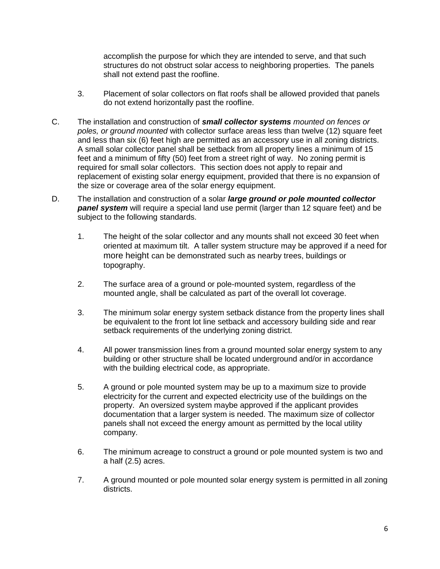accomplish the purpose for which they are intended to serve, and that such structures do not obstruct solar access to neighboring properties. The panels shall not extend past the roofline.

- 3. Placement of solar collectors on flat roofs shall be allowed provided that panels do not extend horizontally past the roofline.
- C. The installation and construction of *small collector systems mounted on fences or poles, or ground mounted* with collector surface areas less than twelve (12) square feet and less than six (6) feet high are permitted as an accessory use in all zoning districts. A small solar collector panel shall be setback from all property lines a minimum of 15 feet and a minimum of fifty (50) feet from a street right of way. No zoning permit is required for small solar collectors. This section does not apply to repair and replacement of existing solar energy equipment, provided that there is no expansion of the size or coverage area of the solar energy equipment.
- D. The installation and construction of a solar *large ground or pole mounted collector panel system* will require a special land use permit (larger than 12 square feet) and be subject to the following standards.
	- 1. The height of the solar collector and any mounts shall not exceed 30 feet when oriented at maximum tilt. A taller system structure may be approved if a need for more height can be demonstrated such as nearby trees, buildings or topography.
	- 2. The surface area of a ground or pole-mounted system, regardless of the mounted angle, shall be calculated as part of the overall lot coverage.
	- 3. The minimum solar energy system setback distance from the property lines shall be equivalent to the front lot line setback and accessory building side and rear setback requirements of the underlying zoning district.
	- 4. All power transmission lines from a ground mounted solar energy system to any building or other structure shall be located underground and/or in accordance with the building electrical code, as appropriate.
	- 5. A ground or pole mounted system may be up to a maximum size to provide electricity for the current and expected electricity use of the buildings on the property. An oversized system maybe approved if the applicant provides documentation that a larger system is needed. The maximum size of collector panels shall not exceed the energy amount as permitted by the local utility company.
	- 6. The minimum acreage to construct a ground or pole mounted system is two and a half (2.5) acres.
	- 7. A ground mounted or pole mounted solar energy system is permitted in all zoning districts.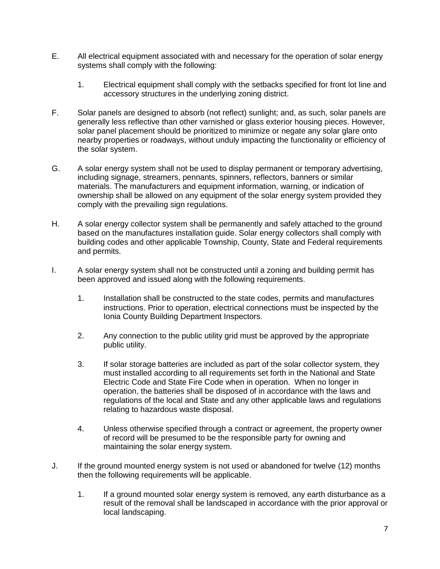- E. All electrical equipment associated with and necessary for the operation of solar energy systems shall comply with the following:
	- 1. Electrical equipment shall comply with the setbacks specified for front lot line and accessory structures in the underlying zoning district.
- F. Solar panels are designed to absorb (not reflect) sunlight; and, as such, solar panels are generally less reflective than other varnished or glass exterior housing pieces. However, solar panel placement should be prioritized to minimize or negate any solar glare onto nearby properties or roadways, without unduly impacting the functionality or efficiency of the solar system.
- G. A solar energy system shall not be used to display permanent or temporary advertising, including signage, streamers, pennants, spinners, reflectors, banners or similar materials. The manufacturers and equipment information, warning, or indication of ownership shall be allowed on any equipment of the solar energy system provided they comply with the prevailing sign regulations.
- H. A solar energy collector system shall be permanently and safely attached to the ground based on the manufactures installation guide. Solar energy collectors shall comply with building codes and other applicable Township, County, State and Federal requirements and permits.
- I. A solar energy system shall not be constructed until a zoning and building permit has been approved and issued along with the following requirements.
	- 1. Installation shall be constructed to the state codes, permits and manufactures instructions. Prior to operation, electrical connections must be inspected by the Ionia County Building Department Inspectors.
	- 2. Any connection to the public utility grid must be approved by the appropriate public utility.
	- 3. If solar storage batteries are included as part of the solar collector system, they must installed according to all requirements set forth in the National and State Electric Code and State Fire Code when in operation. When no longer in operation, the batteries shall be disposed of in accordance with the laws and regulations of the local and State and any other applicable laws and regulations relating to hazardous waste disposal.
	- 4. Unless otherwise specified through a contract or agreement, the property owner of record will be presumed to be the responsible party for owning and maintaining the solar energy system.
- J. If the ground mounted energy system is not used or abandoned for twelve (12) months then the following requirements will be applicable.
	- 1. If a ground mounted solar energy system is removed, any earth disturbance as a result of the removal shall be landscaped in accordance with the prior approval or local landscaping.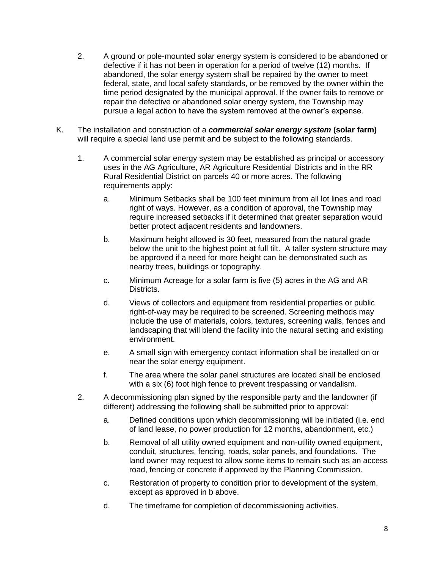- 2. A ground or pole-mounted solar energy system is considered to be abandoned or defective if it has not been in operation for a period of twelve (12) months. If abandoned, the solar energy system shall be repaired by the owner to meet federal, state, and local safety standards, or be removed by the owner within the time period designated by the municipal approval. If the owner fails to remove or repair the defective or abandoned solar energy system, the Township may pursue a legal action to have the system removed at the owner's expense.
- K. The installation and construction of a *commercial solar energy system* **(solar farm)** will require a special land use permit and be subject to the following standards.
	- 1. A commercial solar energy system may be established as principal or accessory uses in the AG Agriculture, AR Agriculture Residential Districts and in the RR Rural Residential District on parcels 40 or more acres. The following requirements apply:
		- a. Minimum Setbacks shall be 100 feet minimum from all lot lines and road right of ways. However, as a condition of approval, the Township may require increased setbacks if it determined that greater separation would better protect adjacent residents and landowners.
		- b. Maximum height allowed is 30 feet, measured from the natural grade below the unit to the highest point at full tilt. A taller system structure may be approved if a need for more height can be demonstrated such as nearby trees, buildings or topography.
		- c. Minimum Acreage for a solar farm is five (5) acres in the AG and AR Districts.
		- d. Views of collectors and equipment from residential properties or public right-of-way may be required to be screened. Screening methods may include the use of materials, colors, textures, screening walls, fences and landscaping that will blend the facility into the natural setting and existing environment.
		- e. A small sign with emergency contact information shall be installed on or near the solar energy equipment.
		- f. The area where the solar panel structures are located shall be enclosed with a six (6) foot high fence to prevent trespassing or vandalism.
	- 2. A decommissioning plan signed by the responsible party and the landowner (if different) addressing the following shall be submitted prior to approval:
		- a. Defined conditions upon which decommissioning will be initiated (i.e. end of land lease, no power production for 12 months, abandonment, etc.)
		- b. Removal of all utility owned equipment and non-utility owned equipment, conduit, structures, fencing, roads, solar panels, and foundations. The land owner may request to allow some items to remain such as an access road, fencing or concrete if approved by the Planning Commission.
		- c. Restoration of property to condition prior to development of the system, except as approved in b above.
		- d. The timeframe for completion of decommissioning activities.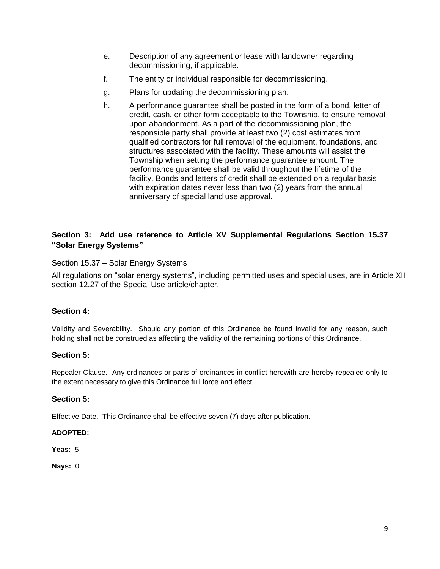- e. Description of any agreement or lease with landowner regarding decommissioning, if applicable.
- f. The entity or individual responsible for decommissioning.
- g. Plans for updating the decommissioning plan.
- h. A performance guarantee shall be posted in the form of a bond, letter of credit, cash, or other form acceptable to the Township, to ensure removal upon abandonment. As a part of the decommissioning plan, the responsible party shall provide at least two (2) cost estimates from qualified contractors for full removal of the equipment, foundations, and structures associated with the facility. These amounts will assist the Township when setting the performance guarantee amount. The performance guarantee shall be valid throughout the lifetime of the facility. Bonds and letters of credit shall be extended on a regular basis with expiration dates never less than two (2) years from the annual anniversary of special land use approval.

## **Section 3: Add use reference to Article XV Supplemental Regulations Section 15.37 "Solar Energy Systems"**

#### Section 15.37 – Solar Energy Systems

All regulations on "solar energy systems", including permitted uses and special uses, are in Article XII section 12.27 of the Special Use article/chapter.

#### **Section 4:**

Validity and Severability. Should any portion of this Ordinance be found invalid for any reason, such holding shall not be construed as affecting the validity of the remaining portions of this Ordinance.

#### **Section 5:**

Repealer Clause. Any ordinances or parts of ordinances in conflict herewith are hereby repealed only to the extent necessary to give this Ordinance full force and effect.

#### **Section 5:**

Effective Date. This Ordinance shall be effective seven (7) days after publication.

#### **ADOPTED:**

**Yeas:** 5

**Nays:** 0